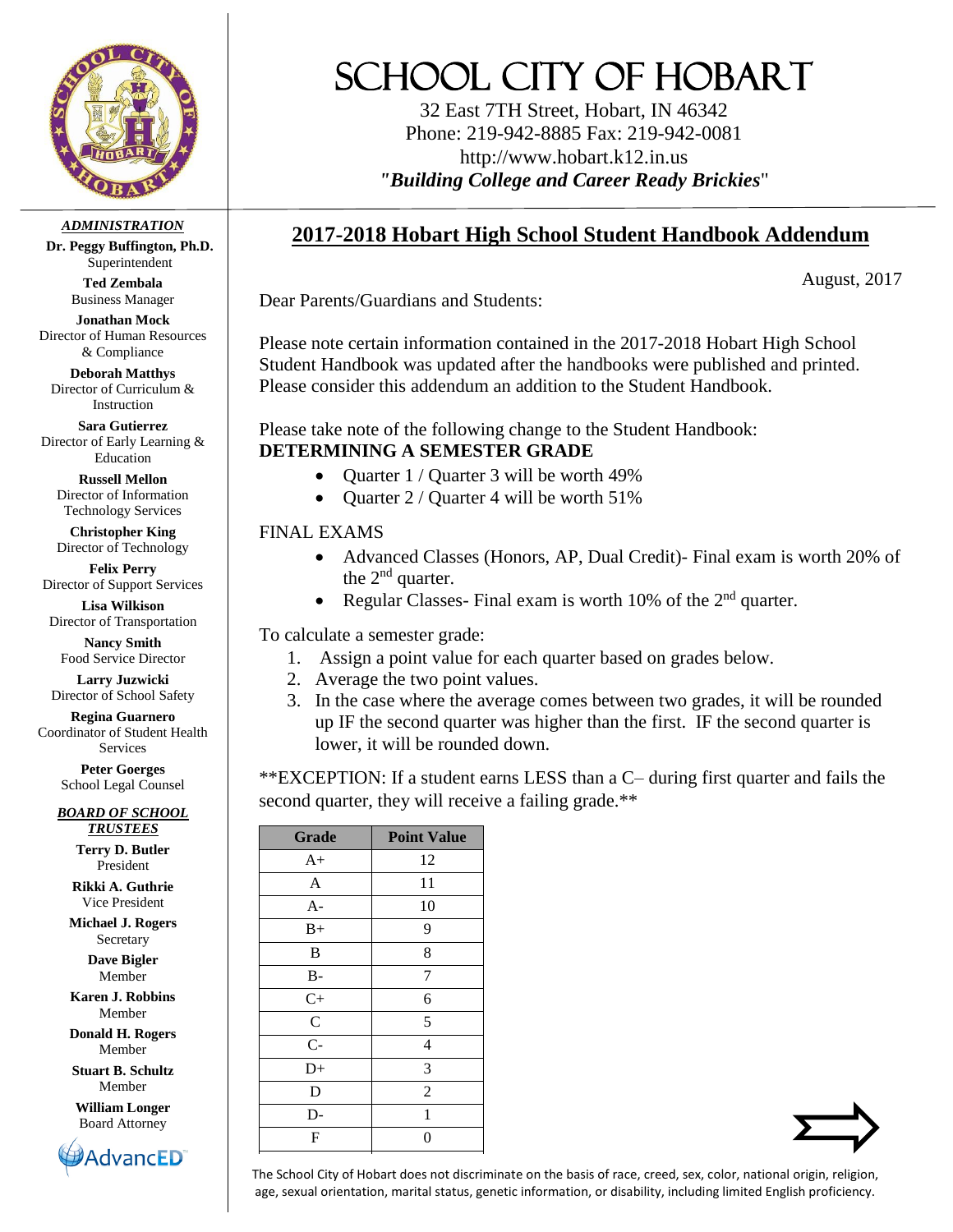

*ADMINISTRATION*

**Dr. Peggy Buffington, Ph.D.** Superintendent

> **Ted Zembala** Business Manager

**Jonathan Mock** Director of Human Resources & Compliance

**Deborah Matthys** Director of Curriculum & Instruction

**Sara Gutierrez** Director of Early Learning & Education

**Russell Mellon** Director of Information Technology Services

**Christopher King** Director of Technology

**Felix Perry** Director of Support Services

**Lisa Wilkison** Director of Transportation

**Nancy Smith** Food Service Director

**Larry Juzwicki** Director of School Safety

**Regina Guarnero** Coordinator of Student Health Services

> **Peter Goerges** School Legal Counsel

*BOARD OF SCHOOL TRUSTEES*

> **Terry D. Butler** President

**Rikki A. Guthrie** Vice President

**Michael J. Rogers** Secretary

> **Dave Bigler** Member

**Karen J. Robbins** Member

**Donald H. Rogers** Member

**Stuart B. Schultz** Member

**William Longer** Board Attorney



## SCHOOL CITY OF HOBART

32 East 7TH Street, Hobart, IN 46342 Phone: 219-942-8885 Fax: 219-942-0081 http://www.hobart.k12.in.us *"Building College and Career Ready Brickies*"

## **2017-2018 Hobart High School Student Handbook Addendum**

August, 2017

Dear Parents/Guardians and Students:

Please note certain information contained in the 2017-2018 Hobart High School Student Handbook was updated after the handbooks were published and printed. Please consider this addendum an addition to the Student Handbook.

Please take note of the following change to the Student Handbook: **DETERMINING A SEMESTER GRADE**

- Ouarter 1 / Ouarter 3 will be worth 49%
- Quarter 2 / Quarter 4 will be worth 51%

## FINAL EXAMS

- Advanced Classes (Honors, AP, Dual Credit)- Final exam is worth 20% of the  $2<sup>nd</sup>$  quarter.
- Regular Classes- Final exam is worth 10% of the 2nd quarter.

To calculate a semester grade:

- 1. Assign a point value for each quarter based on grades below.
- 2. Average the two point values.
- 3. In the case where the average comes between two grades, it will be rounded up IF the second quarter was higher than the first. IF the second quarter is lower, it will be rounded down.

\*\*EXCEPTION: If a student earns LESS than a C– during first quarter and fails the second quarter, they will receive a failing grade.\*\*

| <b>Grade</b>  | <b>Point Value</b> |  |
|---------------|--------------------|--|
| $A+$          | 12                 |  |
| $\mathbf{A}$  | 11                 |  |
| $A -$         | 10                 |  |
| $B+$          | 9                  |  |
| B             | 8                  |  |
| B-            | 7                  |  |
| $C+$          | 6                  |  |
| $\mathcal{C}$ | 5                  |  |
| $C -$         | $\overline{4}$     |  |
| $D+$          | 3                  |  |
| D             | $\overline{2}$     |  |
| $D-$          | 1                  |  |
| F             | 0                  |  |



The School City of Hobart does not discriminate on the basis of race, creed, sex, color, national origin, religion, age, sexual orientation, marital status, genetic information, or disability, including limited English proficiency.